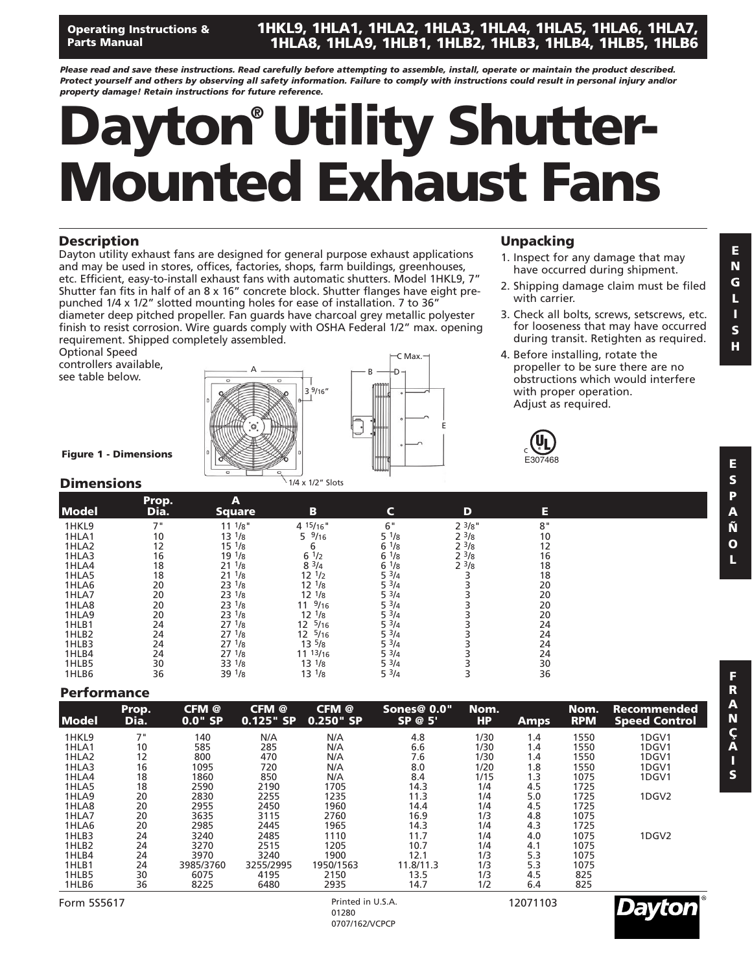#### **Operating Instructions & Parts Manual**

# **1HKL9, 1HLA1, 1HLA2, 1HLA3, 1HLA4, 1HLA5, 1HLA6, 1HLA7, 1HLA8, 1HLA9, 1HLB1, 1HLB2, 1HLB3, 1HLB4, 1HLB5, 1HLB6**

*Please read and save these instructions. Read carefully before attempting to assemble, install, operate or maintain the product described. Protect yourself and others by observing all safety information. Failure to comply with instructions could result in personal injury and/or property damage! Retain instructions for future reference.*

# **Dayton® Utility Shutter-Mounted Exhaust Fans**

C Max.

D

E

#### **Description**

Dayton utility exhaust fans are designed for general purpose exhaust applications and may be used in stores, offices, factories, shops, farm buildings, greenhouses, etc. Efficient, easy-to-install exhaust fans with automatic shutters. Model 1HKL9, 7" Shutter fan fits in half of an 8 x 16" concrete block. Shutter flanges have eight prepunched 1/4 x 1/2" slotted mounting holes for ease of installation. 7 to 36" diameter deep pitched propeller. Fan guards have charcoal grey metallic polyester finish to resist corrosion. Wire guards comply with OSHA Federal 1/2" max. opening requirement. Shipped completely assembled.

Optional Speed controllers available, see table below.



### **Unpacking**

- 1. Inspect for any damage that may have occurred during shipment.
- 2. Shipping damage claim must be filed with carrier.
- 3. Check all bolts, screws, setscrews, etc. for looseness that may have occurred during transit. Retighten as required.
- 4. Before installing, rotate the propeller to be sure there are no obstructions which would interfere with proper operation. Adjust as required.



12071103

**Figure 1 - Dimensions**

#### **Dimensions Prop. A Model Dia. Square B C D E** 1HKL9 7" 11 1/8" 4 15/16" 6" 2 3/8" 8" 1HLA1 10 13  $\frac{1}{8}$  13  $\frac{1}{8}$  5  $\frac{9}{16}$  5  $\frac{1}{8}$  2  $\frac{3}{8}$  10 1HLA2 12 15 1/8 6 6 1/8 2 3/8 12 1HLA3 16 19  $\frac{1}{8}$  16 1/8 6  $\frac{1}{2}$  6  $\frac{1}{8}$  2  $\frac{3}{8}$  16 1HLA4 18 21  $\frac{1}{8}$  18 3/4 6  $\frac{1}{8}$  2  $\frac{3}{8}$  18 1HLA5 18 21  $\frac{1}{8}$  12  $\frac{1}{2}$  5  $\frac{3}{4}$  3 18 1HLA6 20 23  $\frac{1}{8}$  12  $\frac{1}{8}$  5  $\frac{3}{4}$  3 20 1HLA7 20 23 <sup>1</sup>/8 12 <sup>1</sup>/8 5 <sup>3</sup>/4 3 20 1HLA8 20 23 <sup>1</sup>/8 11 <sup>9</sup>/16 5 <sup>3</sup>/4 3 20 1HLA9 20 23 $\frac{1}{8}$  12  $\frac{1}{8}$  5 $\frac{3}{4}$  3 20 1HLB1 24 27 <sup>1</sup>/8 12 <sup>5</sup>/16 5 <sup>3</sup>/4 3 24 1HLB2 24 27 1/8 12 5/16 5 3/4 3 24 1HLB3 24 27  $\frac{1}{8}$  13  $\frac{5}{8}$  5  $\frac{3}{4}$  3 24 1HLB4 24 27 1/8 11 13/16 5 3/4 3 24 1HLB5 30 33 1/8 13 1/8 5  $^{3}/4$  3 30 1HLB6 36 39  $\frac{1}{8}$  31  $\frac{1}{8}$  336 36

### **Performance**

| <b>Model</b>      | Prop.<br>Dia. | CFM <sup>®</sup><br>$0.0"$ SP | CFM @<br>$0.125"$ SP | CFM <sup>®</sup><br>0.250" SP | Sones@ 0.0"<br>SP @ 5' | Nom.<br><b>HP</b> | <b>Amps</b> | Nom.<br><b>RPM</b> | Recommended<br><b>Speed Control</b> |
|-------------------|---------------|-------------------------------|----------------------|-------------------------------|------------------------|-------------------|-------------|--------------------|-------------------------------------|
| 1HKL9             | 7"            | 140                           | N/A                  | N/A                           | 4.8                    | 1/30              | 1.4         | 1550               | 1DGV1                               |
| 1HLA1             | 10            | 585                           | 285                  | N/A                           | 6.6                    | 1/30              | 1.4         | 1550               | 1DGV1                               |
| 1HLA <sub>2</sub> | 12            | 800                           | 470                  | N/A                           | 7.6                    | 1/30              | 1.4         | 1550               | 1DGV1                               |
| 1HLA3             | 16            | 1095                          | 720                  | N/A                           | 8.0                    | 1/20              | 1.8         | 1550               | 1DGV1                               |
| 1HLA4             | 18            | 1860                          | 850                  | N/A                           | 8.4                    | 1/15              | 1.3         | 1075               | 1DGV1                               |
| 1HLA5             | 18            | 2590                          | 2190                 | 1705                          | 14.3                   | 1/4               | 4.5         | 1725               |                                     |
| 1HLA9             | 20            | 2830                          | 2255                 | 1235                          | 11.3                   | 1/4               | 5.0         | 1725               | 1DGV <sub>2</sub>                   |
| 1HLA8             | 20            | 2955                          | 2450                 | 1960                          | 14.4                   | 1/4               | 4.5         | 1725               |                                     |
| 1HLA7             | 20            | 3635                          | 3115                 | 2760                          | 16.9                   | 1/3               | 4.8         | 1075               |                                     |
| 1HLA6             | 20            | 2985                          | 2445                 | 1965                          | 14.3                   | 1/4               | 4.3         | 1725               |                                     |
| 1HLB3             | 24            | 3240                          | 2485                 | 1110                          | 11.7                   | 1/4               | 4.0         | 1075               | 1DGV <sub>2</sub>                   |
| 1HLB <sub>2</sub> | 24            | 3270                          | 2515                 | 1205                          | 10.7                   | 1/4               | 4.1         | 1075               |                                     |
| 1HLB4             | 24            | 3970                          | 3240                 | 1900                          | 12.1                   | 1/3               | 5.3         | 1075               |                                     |
| 1HLB1             | 24            | 3985/3760                     | 3255/2995            | 1950/1563                     | 11.8/11.3              | 1/3               | 5.3         | 1075               |                                     |
| 1HLB5             | 30            | 6075                          | 4195                 | 2150                          | 13.5                   | 1/3               | 4.5         | 825                |                                     |
| 1HLB6             | 36            | 8225                          | 6480                 | 2935                          | 14.7                   | 1/2               | 6.4         | 825                |                                     |

**E N G L I S H**

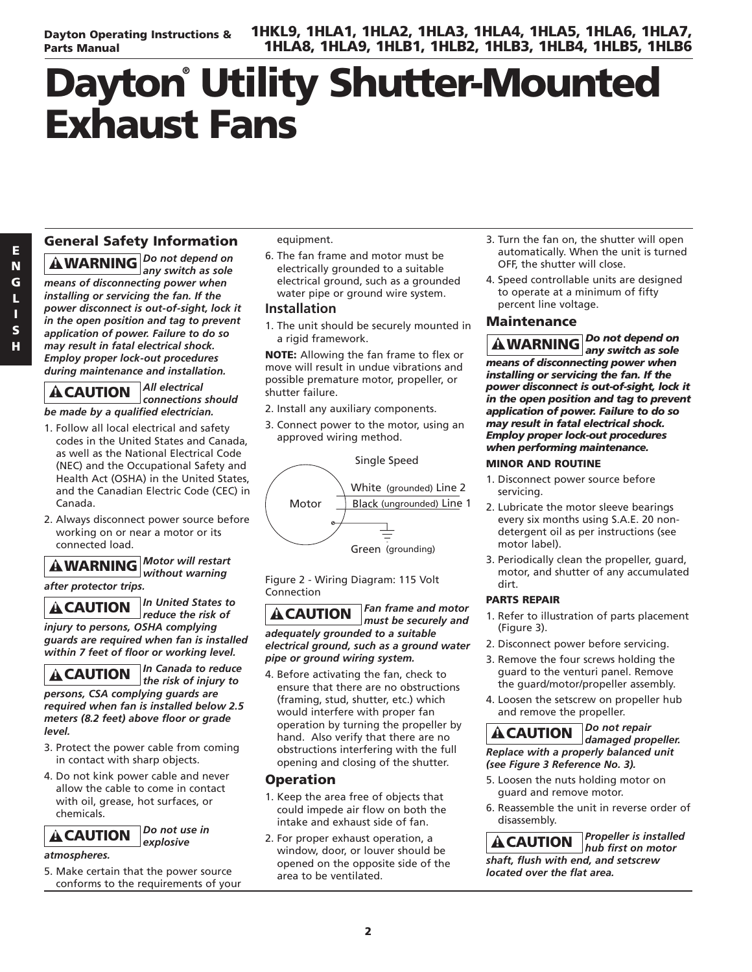# **Dayton® Utility Shutter-Mounted Exhaust Fans**

# **General Safety Information**

*Do not depend on* **! WARNING** *any switch as sole means of disconnecting power when installing or servicing the fan. If the power disconnect is out-of-sight, lock it in the open position and tag to prevent application of power. Failure to do so may result in fatal electrical shock. Employ proper lock-out procedures during maintenance and installation.*

*All electrical connections should be made by a qualified electrician.*  **! CAUTION**

- 1. Follow all local electrical and safety codes in the United States and Canada, as well as the National Electrical Code (NEC) and the Occupational Safety and Health Act (OSHA) in the United States, and the Canadian Electric Code (CEC) in Canada.
- 2. Always disconnect power source before working on or near a motor or its connected load.

#### *Motor will restart* **! WARNING** *without warning*

*after protector trips.* 

*In United States to reduce the risk of injury to persons, OSHA complying* **! CAUTION**

*guards are required when fan is installed within 7 feet of floor or working level.* 



*In Canada to reduce the risk of injury to persons, CSA complying guards are*

*required when fan is installed below 2.5 meters (8.2 feet) above floor or grade level.* 

- 3. Protect the power cable from coming in contact with sharp objects.
- 4. Do not kink power cable and never allow the cable to come in contact with oil, grease, hot surfaces, or chemicals.

*Do not use in explosive* **! CAUTION**

### *atmospheres.*

5. Make certain that the power source conforms to the requirements of your

#### equipment.

6. The fan frame and motor must be electrically grounded to a suitable electrical ground, such as a grounded water pipe or ground wire system.

#### **Installation**

1. The unit should be securely mounted in a rigid framework.

**NOTE:** Allowing the fan frame to flex or move will result in undue vibrations and possible premature motor, propeller, or shutter failure.

- 2. Install any auxiliary components.
- 3. Connect power to the motor, using an approved wiring method.



Figure 2 - Wiring Diagram: 115 Volt Connection

*Fan frame and motor must be securely and adequately grounded to a suitable electrical ground, such as a ground water pipe or ground wiring system.* **! CAUTION**

4. Before activating the fan, check to ensure that there are no obstructions (framing, stud, shutter, etc.) which would interfere with proper fan operation by turning the propeller by hand. Also verify that there are no obstructions interfering with the full opening and closing of the shutter.

## **Operation**

- 1. Keep the area free of objects that could impede air flow on both the intake and exhaust side of fan.
- 2. For proper exhaust operation, a window, door, or louver should be opened on the opposite side of the area to be ventilated.
- 3. Turn the fan on, the shutter will open automatically. When the unit is turned OFF, the shutter will close.
- 4. Speed controllable units are designed to operate at a minimum of fifty percent line voltage.

## **Maintenance**

*Do not depend on any switch as sole means of disconnecting power when installing or servicing the fan. If the power disconnect is out-of-sight, lock it in the open position and tag to prevent application of power. Failure to do so may result in fatal electrical shock. Employ proper lock-out procedures when performing maintenance.* **! WARNING**

#### **MINOR AND ROUTINE**

- 1. Disconnect power source before servicing.
- 2. Lubricate the motor sleeve bearings every six months using S.A.E. 20 nondetergent oil as per instructions (see motor label).
- 3. Periodically clean the propeller, guard, motor, and shutter of any accumulated dirt.

#### **PARTS REPAIR**

- 1. Refer to illustration of parts placement (Figure 3).
- 2. Disconnect power before servicing.
- 3. Remove the four screws holding the guard to the venturi panel. Remove the guard/motor/propeller assembly.
- 4. Loosen the setscrew on propeller hub and remove the propeller.

*Do not repair damaged propeller. Replace with a properly balanced unit (see Figure 3 Reference No. 3).* **! CAUTION**

- 5. Loosen the nuts holding motor on guard and remove motor.
- 6. Reassemble the unit in reverse order of disassembly.

*Propeller is installed hub first on motor shaft, flush with end, and setscrew located over the flat area.* **! CAUTION**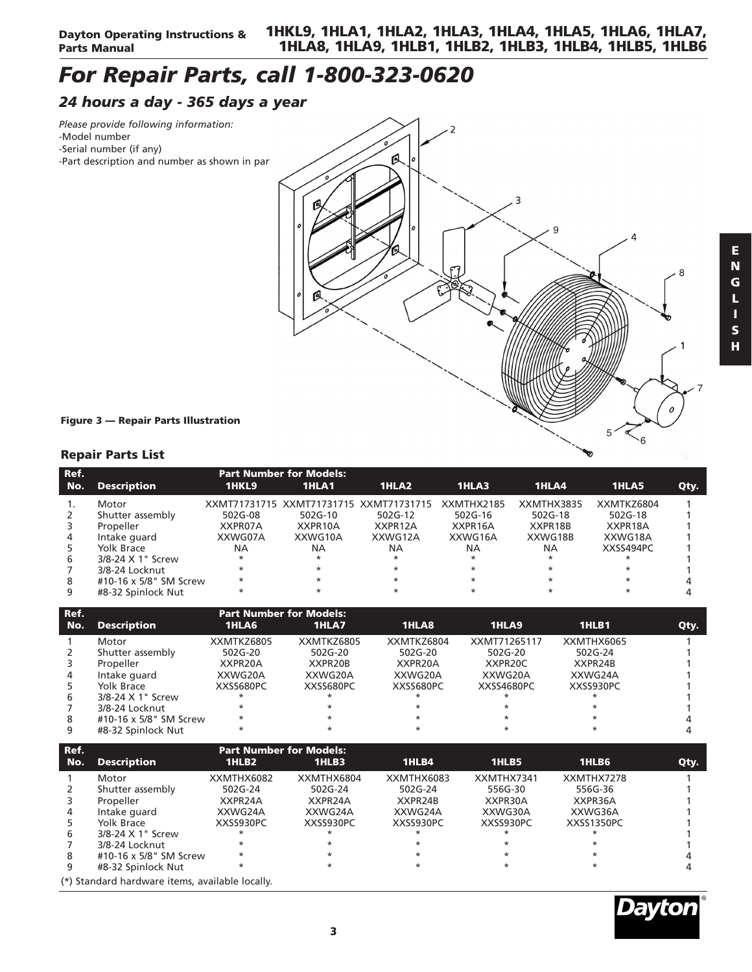# *For Repair Parts, call 1-800-323-0620*

# *24 hours a day - 365 days a year*

*Please provide following information:*  -Model number

- -Serial number (if any)
- -Part description and number as shown in par



**Figure 3 — Repair Parts Illustration** 

### **Repair Parts List**

| Ref. |                        |           | <b>Part Number for Models:</b>         |           |            |            |            |      |
|------|------------------------|-----------|----------------------------------------|-----------|------------|------------|------------|------|
| No.  | <b>Description</b>     | 1HKL9     | 1HLA1                                  | 1HLA2     | 1HLA3      | 1HLA4      | 1HLA5      | Qty. |
|      | Motor                  |           | XXMT71731715 XXMT71731715 XXMT71731715 |           | XXMTHX2185 | XXMTHX3835 | XXMTKZ6804 |      |
|      | Shutter assembly       | 502G-08   | 502G-10                                | 502G-12   | $502G-16$  | $502G-18$  | $502G-18$  |      |
|      | Propeller              | XXPR07A   | XXPR10A                                | XXPR12A   | XXPR16A    | XXPR18B    | XXPR18A    |      |
|      | Intake quard           | XXWG07A   | XXWG10A                                | XXWG12A   | XXWG16A    | XXWG18B    | XXWG18A    |      |
|      | Yolk Brace             | <b>NA</b> | <b>NA</b>                              | <b>NA</b> | ΝA         | <b>NA</b>  | XXSS494PC  |      |
| 6    | 3/8-24 X 1" Screw      | $\star$   | $\star$                                | $\star$   | $\star$    | $\star$    | $\star$    |      |
|      | 3/8-24 Locknut         | $\star$   | $\star$                                | $\star$   | $\star$    | $\star$    | $\star$    |      |
| 8    | #10-16 x 5/8" SM Screw | $\star$   |                                        | $\star$   | $\star$    | $\star$    | $\star$    |      |
|      | #8-32 Spinlock Nut     |           |                                        |           |            |            |            |      |

| Ref. |                        | <b>Part Number for Models:</b> |            |            |              |            |      |
|------|------------------------|--------------------------------|------------|------------|--------------|------------|------|
| No.  | <b>Description</b>     | 1HLA6                          | 1HLA7      | 1HLA8      | 1HLA9        | 1HLB1      | Qty. |
|      | Motor                  | XXMTKZ6805                     | XXMTKZ6805 | XXMTKZ6804 | XXMT71265117 | XXMTHX6065 |      |
|      | Shutter assembly       | 502G-20                        | 502G-20    | 502G-20    | 502G-20      | 502G-24    |      |
|      | Propeller              | XXPR20A                        | XXPR20B    | XXPR20A    | XXPR20C      | XXPR24B    |      |
|      | Intake guard           | XXWG20A                        | XXWG20A    | XXWG20A    | XXWG20A      | XXWG24A    |      |
|      | Yolk Brace             | XXSS680PC                      | XXSS680PC  | XXSS680PC  | XXSS4680PC   | XXSS930PC  |      |
| 6    | 3/8-24 X 1" Screw      | ÷                              | $\star$    | $\star$    |              |            |      |
|      | 3/8-24 Locknut         |                                | $\star$    |            |              |            |      |
| 8    | #10-16 x 5/8" SM Screw |                                | $\star$    |            |              |            |      |
|      | #8-32 Spinlock Nut     |                                | $\star$    |            |              |            |      |

| Ref. |                                                 | <b>Part Number for Models:</b> |            |            |            |            |      |
|------|-------------------------------------------------|--------------------------------|------------|------------|------------|------------|------|
| No.  | <b>Description</b>                              | 1HLB <sub>2</sub>              | 1HLB3      | 1HLB4      | 1HLB5      | 1HLB6      | Qty. |
|      | Motor                                           | XXMTHX6082                     | XXMTHX6804 | XXMTHX6083 | XXMTHX7341 | XXMTHX7278 |      |
|      | Shutter assembly                                | 502G-24                        | 502G-24    | 502G-24    | 556G-30    | 556G-36    |      |
|      | Propeller                                       | XXPR24A                        | XXPR24A    | XXPR24B    | XXPR30A    | XXPR36A    |      |
| 4    | Intake guard                                    | XXWG24A                        | XXWG24A    | XXWG24A    | XXWG30A    | XXWG36A    |      |
|      | Yolk Brace                                      | XXSS930PC                      | XXSS930PC  | XXSS930PC  | XXSS930PC  | XXSS1350PC |      |
| 6    | 3/8-24 X 1" Screw                               | $\star$                        | $\star$    | $\star$    |            |            |      |
|      | 3/8-24 Locknut                                  | $\star$                        | $\star$    | $\star$    | $\star$    | $\star$    |      |
| 8    | #10-16 x 5/8" SM Screw                          | $\star$                        | $\star$    | $\star$    | $\star$    | $\star$    |      |
|      | #8-32 Spinlock Nut                              | $\star$                        | $\star$    | $\star$    |            | $\star$    |      |
|      | (*) Standard hardware items, available locally. |                                |            |            |            |            |      |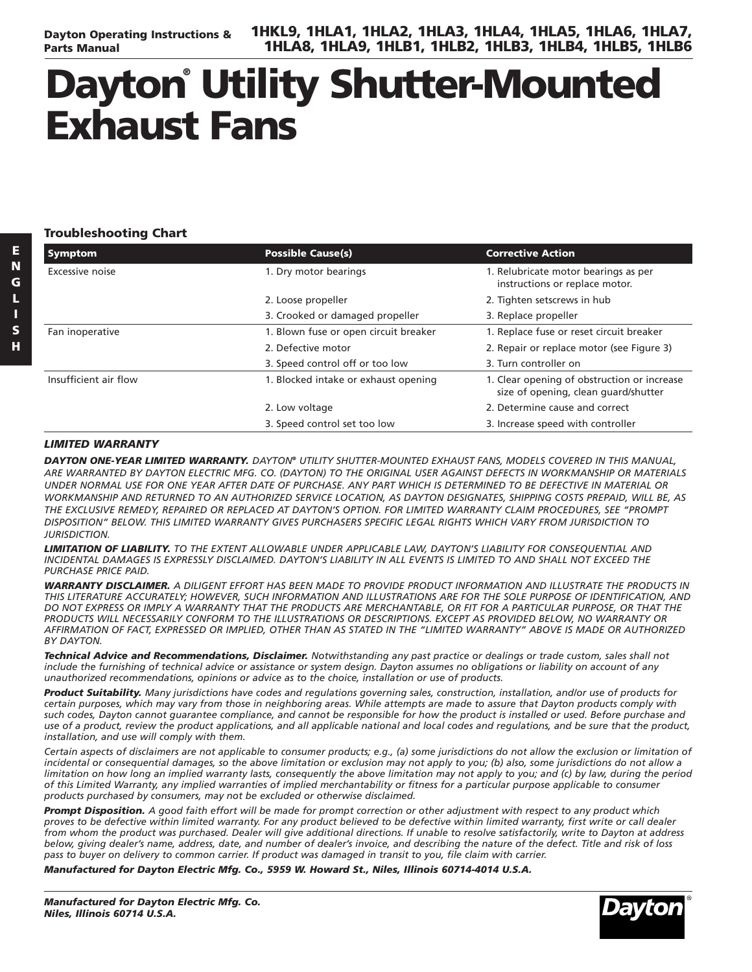# **Dayton® Utility Shutter-Mounted Exhaust Fans**

#### **Troubleshooting Chart**

| <b>Symptom</b>        | <b>Possible Cause(s)</b>              | <b>Corrective Action</b>                                                            |
|-----------------------|---------------------------------------|-------------------------------------------------------------------------------------|
| Excessive noise       | 1. Dry motor bearings                 | 1. Relubricate motor bearings as per<br>instructions or replace motor.              |
|                       | 2. Loose propeller                    | 2. Tighten setscrews in hub                                                         |
|                       | 3. Crooked or damaged propeller       | 3. Replace propeller                                                                |
| Fan inoperative       | 1. Blown fuse or open circuit breaker | 1. Replace fuse or reset circuit breaker                                            |
|                       | 2. Defective motor                    | 2. Repair or replace motor (see Figure 3)                                           |
|                       | 3. Speed control off or too low       | 3. Turn controller on                                                               |
| Insufficient air flow | 1. Blocked intake or exhaust opening  | 1. Clear opening of obstruction or increase<br>size of opening, clean guard/shutter |
|                       | 2. Low voltage                        | 2. Determine cause and correct                                                      |
|                       | 3. Speed control set too low          | 3. Increase speed with controller                                                   |

#### *LIMITED WARRANTY*

*DAYTON ONE-YEAR LIMITED WARRANTY. DAYTON® UTILITY SHUTTER-MOUNTED EXHAUST FANS, MODELS COVERED IN THIS MANUAL, ARE WARRANTED BY DAYTON ELECTRIC MFG. CO. (DAYTON) TO THE ORIGINAL USER AGAINST DEFECTS IN WORKMANSHIP OR MATERIALS UNDER NORMAL USE FOR ONE YEAR AFTER DATE OF PURCHASE. ANY PART WHICH IS DETERMINED TO BE DEFECTIVE IN MATERIAL OR WORKMANSHIP AND RETURNED TO AN AUTHORIZED SERVICE LOCATION, AS DAYTON DESIGNATES, SHIPPING COSTS PREPAID, WILL BE, AS THE EXCLUSIVE REMEDY, REPAIRED OR REPLACED AT DAYTON'S OPTION. FOR LIMITED WARRANTY CLAIM PROCEDURES, SEE "PROMPT DISPOSITION" BELOW. THIS LIMITED WARRANTY GIVES PURCHASERS SPECIFIC LEGAL RIGHTS WHICH VARY FROM JURISDICTION TO JURISDICTION.*

*LIMITATION OF LIABILITY. TO THE EXTENT ALLOWABLE UNDER APPLICABLE LAW, DAYTON'S LIABILITY FOR CONSEQUENTIAL AND INCIDENTAL DAMAGES IS EXPRESSLY DISCLAIMED. DAYTON'S LIABILITY IN ALL EVENTS IS LIMITED TO AND SHALL NOT EXCEED THE PURCHASE PRICE PAID.* 

*WARRANTY DISCLAIMER. A DILIGENT EFFORT HAS BEEN MADE TO PROVIDE PRODUCT INFORMATION AND ILLUSTRATE THE PRODUCTS IN THIS LITERATURE ACCURATELY; HOWEVER, SUCH INFORMATION AND ILLUSTRATIONS ARE FOR THE SOLE PURPOSE OF IDENTIFICATION, AND DO NOT EXPRESS OR IMPLY A WARRANTY THAT THE PRODUCTS ARE MERCHANTABLE, OR FIT FOR A PARTICULAR PURPOSE, OR THAT THE PRODUCTS WILL NECESSARILY CONFORM TO THE ILLUSTRATIONS OR DESCRIPTIONS. EXCEPT AS PROVIDED BELOW, NO WARRANTY OR AFFIRMATION OF FACT, EXPRESSED OR IMPLIED, OTHER THAN AS STATED IN THE "LIMITED WARRANTY" ABOVE IS MADE OR AUTHORIZED BY DAYTON.*

*Technical Advice and Recommendations, Disclaimer. Notwithstanding any past practice or dealings or trade custom, sales shall not include the furnishing of technical advice or assistance or system design. Dayton assumes no obligations or liability on account of any unauthorized recommendations, opinions or advice as to the choice, installation or use of products.*

*Product Suitability. Many jurisdictions have codes and regulations governing sales, construction, installation, and/or use of products for certain purposes, which may vary from those in neighboring areas. While attempts are made to assure that Dayton products comply with such codes, Dayton cannot guarantee compliance, and cannot be responsible for how the product is installed or used. Before purchase and use of a product, review the product applications, and all applicable national and local codes and regulations, and be sure that the product, installation, and use will comply with them.* 

*Certain aspects of disclaimers are not applicable to consumer products; e.g., (a) some jurisdictions do not allow the exclusion or limitation of incidental or consequential damages, so the above limitation or exclusion may not apply to you; (b) also, some jurisdictions do not allow a limitation on how long an implied warranty lasts, consequently the above limitation may not apply to you; and (c) by law, during the period of this Limited Warranty, any implied warranties of implied merchantability or fitness for a particular purpose applicable to consumer products purchased by consumers, may not be excluded or otherwise disclaimed.*

*Prompt Disposition. A good faith effort will be made for prompt correction or other adjustment with respect to any product which proves to be defective within limited warranty. For any product believed to be defective within limited warranty, first write or call dealer from whom the product was purchased. Dealer will give additional directions. If unable to resolve satisfactorily, write to Dayton at address below, giving dealer's name, address, date, and number of dealer's invoice, and describing the nature of the defect. Title and risk of loss pass to buyer on delivery to common carrier. If product was damaged in transit to you, file claim with carrier.*

*Manufactured for Dayton Electric Mfg. Co., 5959 W. Howard St., Niles, Illinois 60714-4014 U.S.A.*

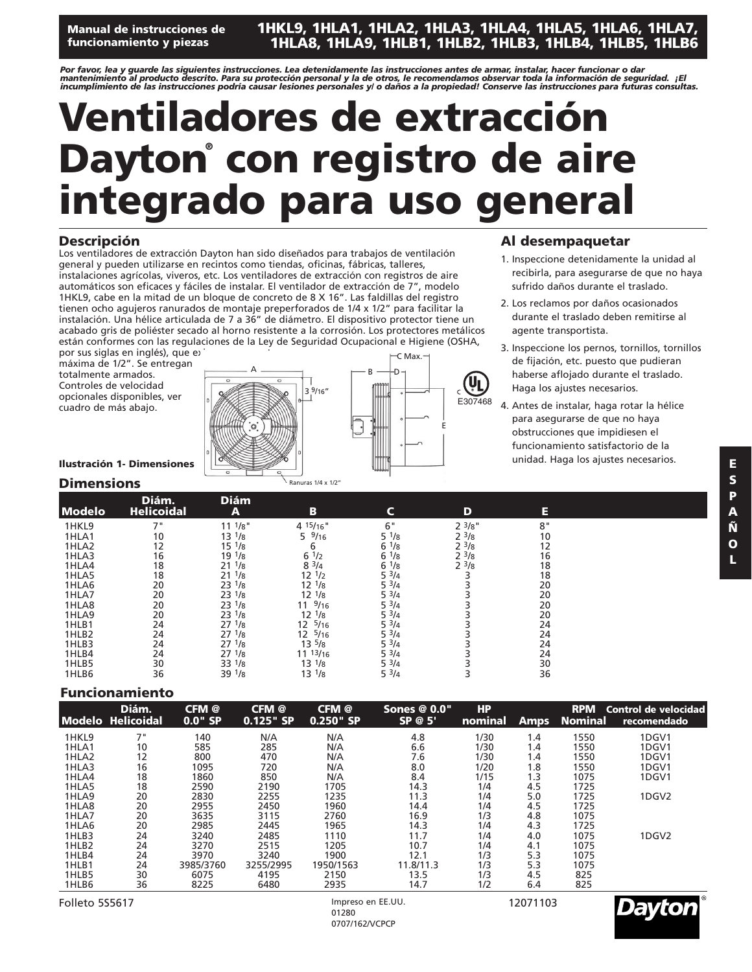**Manual de instrucciones de funcionamiento y piezas**

# **1HKL9, 1HLA1, 1HLA2, 1HLA3, 1HLA4, 1HLA5, 1HLA6, 1HLA7, 1HLA8, 1HLA9, 1HLB1, 1HLB2, 1HLB3, 1HLB4, 1HLB5, 1HLB6**

Por favor, lea y guarde las siguientes instrucciones. Lea detenidamente las instrucciones antes de armar, instalar, hacer funcionar o dar<br>mantenimiento al producto descrito. Para su protección personal y la de otros, le re *incumplimiento de las instrucciones podría causar lesiones personales y/ o daños a la propiedad! Conserve las instrucciones para futuras consultas.*

# **Ventiladores de extracción Dayton® con registro de aire integrado para uso general**

### **Descripción**

Los ventiladores de extracción Dayton han sido diseñados para trabajos de ventilación general y pueden utilizarse en recintos como tiendas, oficinas, fábricas, talleres, instalaciones agrícolas, viveros, etc. Los ventiladores de extracción con registros de aire automáticos son eficaces y fáciles de instalar. El ventilador de extracción de 7", modelo 1HKL9, cabe en la mitad de un bloque de concreto de 8 X 16". Las faldillas del registro tienen ocho agujeros ranurados de montaje preperforados de 1/4 x 1/2" para facilitar la instalación. Una hélice articulada de 7 a 36" de diámetro. El dispositivo protector tiene un acabado gris de poliéster secado al horno resistente a la corrosión. Los protectores metálicos están conformes con las regulaciones de la Ley de Seguridad Ocupacional e Higiene (OSHA,

por sus siglas en inglés), que exigen máxima de 1/2". Se entregan totalmente armados. Controles de velocidad opcionales disponibles, ver cuadro de más abajo.



C Max. D (U<sub>l</sub> E307468

E

### **Al desempaquetar**

- 1. Inspeccione detenidamente la unidad al recibirla, para asegurarse de que no haya sufrido daños durante el traslado.
- 2. Los reclamos por daños ocasionados durante el traslado deben remitirse al agente transportista.
- 3. Inspeccione los pernos, tornillos, tornillos de fijación, etc. puesto que pudieran haberse aflojado durante el traslado. Haga los ajustes necesarios.
- 4. Antes de instalar, haga rotar la hélice para asegurarse de que no haya obstrucciones que impidiesen el funcionamiento satisfactorio de la

#### **Dimensions**

| <b>Modelo</b> | Diám.<br><b>Helicoidal</b> | <b>Diám</b><br>A   | B                 |                 | D          | Е  |  |
|---------------|----------------------------|--------------------|-------------------|-----------------|------------|----|--|
| 1HKL9         | 7"                         | $11^{1}/8"$        | 4 $15/16$ "       | 6"              | $2^{3}/8"$ | 8" |  |
| 1HLA1         | 10                         | $13 \frac{1}{8}$   | $5 \frac{9}{16}$  | $5 \frac{1}{8}$ | $2^{3}/8$  | 10 |  |
| 1HLA2         | 12                         | $15 \frac{1}{8}$   | 6                 | $6^{1/8}$       | $2^{3/8}$  | 12 |  |
| 1HLA3         | 16                         | 19 <sup>1</sup> /8 | $6^{1/2}$         | $6^{1/8}$       | $2^{3}/8$  | 16 |  |
| 1HLA4         | 18                         | $21 \frac{1}{8}$   | $8^{3}/4$         | $6^{1/8}$       | $2^{3/8}$  | 18 |  |
| 1HLA5         | 18                         | $21 \frac{1}{8}$   | $12 \frac{1}{2}$  | $5 \frac{3}{4}$ |            | 18 |  |
| 1HLA6         | 20                         | $23 \frac{1}{8}$   | $12^{1/8}$        | $5 \frac{3}{4}$ |            | 20 |  |
| 1HLA7         | 20                         | $23 \frac{1}{8}$   | $12^{1/8}$        | $5 \frac{3}{4}$ |            | 20 |  |
| 1HLA8         | 20                         | $23 \frac{1}{8}$   | $11 \frac{9}{16}$ | 53/4            |            | 20 |  |
| 1HLA9         | 20                         | $23 \frac{1}{8}$   | $12^{1/8}$        | $5 \frac{3}{4}$ |            | 20 |  |
| 1HLB1         | 24                         | $27 \frac{1}{8}$   | 5/16<br>12        | $5 \frac{3}{4}$ |            | 24 |  |
| 1HLB2         | 24                         | $27 \frac{1}{8}$   | 5/16<br>12        | $5 \frac{3}{4}$ |            | 24 |  |
| 1HLB3         | 24                         | $27^{1/8}$         | $13 \frac{5}{8}$  | $5 \frac{3}{4}$ |            | 24 |  |
| 1HLB4         | 24                         | $27 \frac{1}{8}$   | $11^{13/16}$      | 53/4            |            | 24 |  |
| 1HLB5         | 30                         | $33 \frac{1}{8}$   | $13 \frac{1}{8}$  | $5 \frac{3}{4}$ |            | 30 |  |
| 1HLB6         | 36                         | 39 <sup>1</sup> /8 | $13^{1/8}$        | $5 \frac{3}{4}$ |            | 36 |  |

#### **Funcionamiento**

|                   | Diám.<br>Modelo Helicoidal | CFM @<br>$0.0"$ SP | CFM @<br>$0.125"$ SP | CFM <sup>®</sup><br>$0.250"$ SP | Sones $@0.0"$<br>SP @ 5' | HP.<br>nominal | <b>Amps</b> | <b>RPM</b><br>Nominal | Control de velocidad<br>recomendado |
|-------------------|----------------------------|--------------------|----------------------|---------------------------------|--------------------------|----------------|-------------|-----------------------|-------------------------------------|
| 1HKL9             | 7"                         | 140                | N/A                  | N/A                             | 4.8                      | 1/30           | 1.4         | 1550                  | 1DGV1                               |
| 1HLA1             | 10                         | 585                | 285                  | N/A                             | 6.6                      | 1/30           | 1.4         | 1550                  | 1DGV1                               |
| 1HLA <sub>2</sub> | 12                         | 800                | 470                  | N/A                             | 7.6                      | 1/30           | 1.4         | 1550                  | 1DGV1                               |
| 1HLA3             | 16                         | 1095               | 720                  | N/A                             | 8.0                      | 1/20           | 1.8         | 1550                  | 1DGV1                               |
| 1HLA4             | 18                         | 1860               | 850                  | N/A                             | 8.4                      | 1/15           | 1.3         | 1075                  | 1DGV1                               |
| 1HLA5             | 18                         | 2590               | 2190                 | 1705                            | 14.3                     | 1/4            | 4.5         | 1725                  |                                     |
| 1HLA9             | 20                         | 2830               | 2255                 | 1235                            | 11.3                     | 1/4            | 5.0         | 1725                  | 1DGV <sub>2</sub>                   |
| 1HLA8             | 20                         | 2955               | 2450                 | 1960                            | 14.4                     | 1/4            | 4.5         | 1725                  |                                     |
| 1HLA7             | 20                         | 3635               | 3115                 | 2760                            | 16.9                     | 1/3            | 4.8         | 1075                  |                                     |
| 1HLA6             | 20                         | 2985               | 2445                 | 1965                            | 14.3                     | 1/4            | 4.3         | 1725                  |                                     |
| 1HLB3             | 24                         | 3240               | 2485                 | 1110                            | 11.7                     | 1/4            | 4.0         | 1075                  | 1DGV <sub>2</sub>                   |
| 1HLB <sub>2</sub> | 24                         | 3270               | 2515                 | 1205                            | 10.7                     | 1/4            | 4.1         | 1075                  |                                     |
| 1HLB4             | 24                         | 3970               | 3240                 | 1900                            | 12.1                     | 1/3            | 5.3         | 1075                  |                                     |
| 1HLB1             | 24                         | 3985/3760          | 3255/2995            | 1950/1563                       | 11.8/11.3                | 1/3            | 5.3         | 1075                  |                                     |
| 1HLB5             | 30                         | 6075               | 4195                 | 2150                            | 13.5                     | 1/3            | 4.5         | 825                   |                                     |
| 1HLB6             | 36                         | 8225               | 6480                 | 2935                            | 14.7                     | 1/2            | 6.4         | 825                   |                                     |
|                   |                            |                    |                      |                                 |                          |                |             |                       |                                     |

Daytor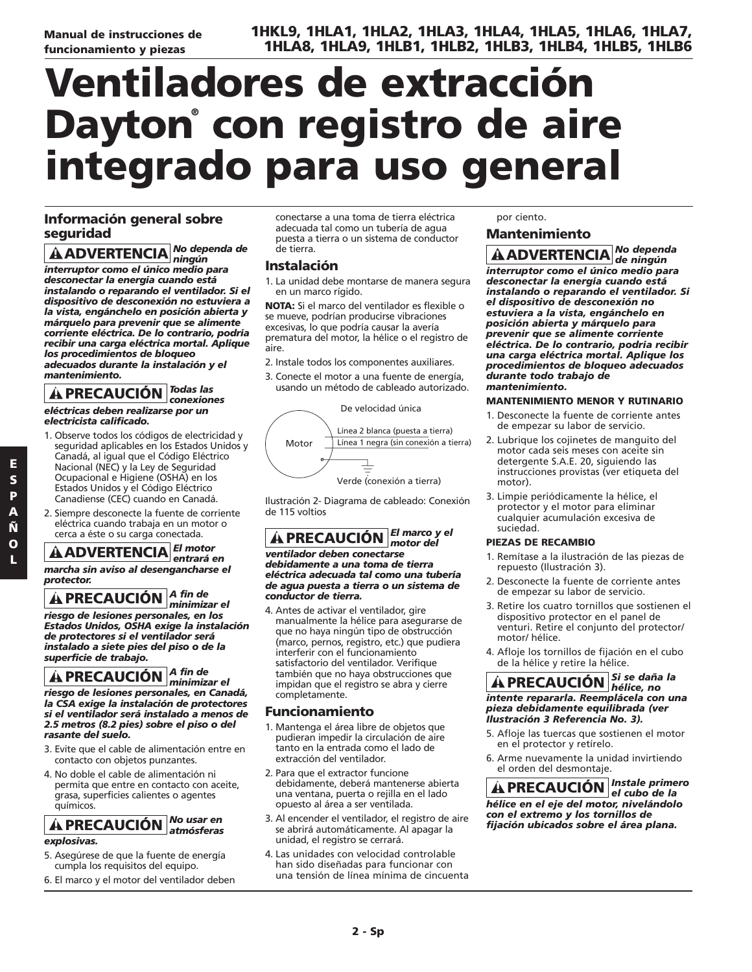# **Ventiladores de extracción Dayton® con registro de aire integrado para uso general**

### **Información general sobre seguridad**

*No dependa de ningún* **! ADVERTENCIA ! ADVERTENCIA**

*interruptor como el único medio para desconectar la energía cuando está instalando o reparando el ventilador. Si el dispositivo de desconexión no estuviera a la vista, engánchelo en posición abierta y márquelo para prevenir que se alimente corriente eléctrica. De lo contrario, podría recibir una carga eléctrica mortal. Aplique los procedimientos de bloqueo adecuados durante la instalación y el mantenimiento.*

#### *Todas las conexiones* **! PRECAUCIÓN** *eléctricas deben realizarse por un electricista calificado.*

- 1. Observe todos los códigos de electricidad y seguridad aplicables en los Estados Unidos y Canadá, al igual que el Código Eléctrico Nacional (NEC) y la Ley de Seguridad Ocupacional e Higiene (OSHA) en los Estados Unidos y el Código Eléctrico Canadiense (CEC) cuando en Canadá.
- 2. Siempre desconecte la fuente de corriente eléctrica cuando trabaja en un motor o cerca a éste o su carga conectada.

#### *El motor entrará en* **! ADVERTENCIA**

*marcha sin aviso al desengancharse el protector.*

*A fin de minimizar el* **! PRECAUCIÓN** *riesgo de lesiones personales, en los Estados Unidos, OSHA exige la instalación de protectores si el ventilador será instalado a siete pies del piso o de la superficie de trabajo.* 

#### *A fin de minimizar el* **! PRECAUCIÓN** *riesgo de lesiones personales, en Canadá, la CSA exige la instalación de protectores si el ventilador será instalado a menos de 2.5 metros (8.2 pies) sobre el piso o del rasante del suelo.*

- 3. Evite que el cable de alimentación entre en contacto con objetos punzantes.
- 4. No doble el cable de alimentación ni permita que entre en contacto con aceite, grasa, superficies calientes o agentes químicos.

#### *No usar en atmósferas* **! PRECAUCIÓN**

#### *explosivas.*

- 5. Asegúrese de que la fuente de energía cumpla los requisitos del equipo.
- 6. El marco y el motor del ventilador deben

conectarse a una toma de tierra eléctrica adecuada tal como un tubería de agua puesta a tierra o un sistema de conductor de tierra.

## **Instalación**

1. La unidad debe montarse de manera segura en un marco rígido.

**NOTA:** Si el marco del ventilador es flexible o se mueve, podrían producirse vibraciones excesivas, lo que podría causar la avería prematura del motor, la hélice o el registro de aire.

- 2. Instale todos los componentes auxiliares.
- 3. Conecte el motor a una fuente de energía, usando un método de cableado autorizado.



Ilustración 2- Diagrama de cableado: Conexión de 115 voltios

#### *El marco y el motor del* **! PRECAUCIÓN**

*ventilador deben conectarse debidamente a una toma de tierra eléctrica adecuada tal como una tubería de agua puesta a tierra o un sistema de conductor de tierra.*

4. Antes de activar el ventilador, gire manualmente la hélice para asegurarse de que no haya ningún tipo de obstrucción (marco, pernos, registro, etc.) que pudiera interferir con el funcionamiento satisfactorio del ventilador. Verifique también que no haya obstrucciones que impidan que el registro se abra y cierre completamente.

### **Funcionamiento**

- 1. Mantenga el área libre de objetos que pudieran impedir la circulación de aire tanto en la entrada como el lado de extracción del ventilador.
- 2. Para que el extractor funcione debidamente, deberá mantenerse abierta una ventana, puerta o rejilla en el lado opuesto al área a ser ventilada.
- 3. Al encender el ventilador, el registro de aire se abrirá automáticamente. Al apagar la unidad, el registro se cerrará.
- 4. Las unidades con velocidad controlable han sido diseñadas para funcionar con una tensión de línea mínima de cincuenta

#### por ciento.

### **Mantenimiento**

*No dependa de ningún interruptor como el único medio para desconectar la energía cuando está instalando o reparando el ventilador. Si el dispositivo de desconexión no estuviera a la vista, engánchelo en posición abierta y márquelo para prevenir que se alimente corriente eléctrica. De lo contrario, podría recibir una carga eléctrica mortal. Aplique los procedimientos de bloqueo adecuados durante todo trabajo de mantenimiento.*

#### **MANTENIMIENTO MENOR Y RUTINARIO**

- 1. Desconecte la fuente de corriente antes de empezar su labor de servicio.
- 2. Lubrique los cojinetes de manguito del motor cada seis meses con aceite sin detergente S.A.E. 20, siguiendo las instrucciones provistas (ver etiqueta del motor).
- 3. Limpie periódicamente la hélice, el protector y el motor para eliminar cualquier acumulación excesiva de suciedad.

#### **PIEZAS DE RECAMBIO**

- 1. Remítase a la ilustración de las piezas de repuesto (Ilustración 3).
- 2. Desconecte la fuente de corriente antes de empezar su labor de servicio.
- 3. Retire los cuatro tornillos que sostienen el dispositivo protector en el panel de venturi. Retire el conjunto del protector/ motor/ hélice.
- 4. Afloje los tornillos de fijación en el cubo de la hélice y retire la hélice.

*Si se daña la hélice, no* **! PRECAUCIÓN** *intente repararla. Reemplácela con una pieza debidamente equilibrada (ver Ilustración 3 Referencia No. 3).*

- 5. Afloje las tuercas que sostienen el motor en el protector y retírelo.
- 6. Arme nuevamente la unidad invirtiendo el orden del desmontaje.

*Instale primero el cubo de la* **! PRECAUCIÓN** *hélice en el eje del motor, nivelándolo con el extremo y los tornillos de fijación ubicados sobre el área plana.*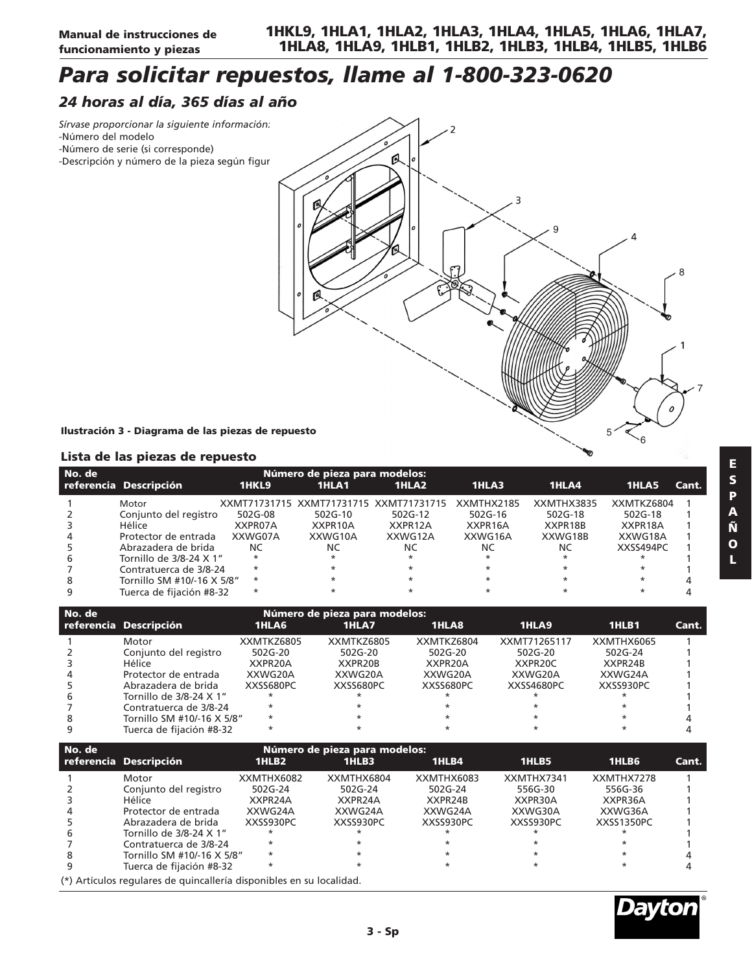# *Para solicitar repuestos, llame al 1-800-323-0620*

# *24 horas al día, 365 días al año*

*Sírvase proporcionar la siguiente información:* -Número del modelo

- -Número de serie (si corresponde)
- -Descripción y número de la pieza según figur



**Ilustración 3 - Diagrama de las piezas de repuesto**

#### **Lista de las piezas de repuesto**

| No. de |                            |              | Número de pieza para modelos: |         |            |            |            |       |
|--------|----------------------------|--------------|-------------------------------|---------|------------|------------|------------|-------|
|        | referencia Descripción     | <b>1HKL9</b> | 1HLA1                         | 1HLA2   | 1HLA3      | 1HLA4      | 1HLA5      | Cant. |
|        | Motor                      |              |                               |         | XXMTHX2185 | XXMTHX3835 | XXMTKZ6804 |       |
|        | Conjunto del registro      | 502G-08      | 502G-10                       | 502G-12 | 502G-16    | 502G-18    | 502G-18    |       |
|        | Hélice                     | XXPR07A      | XXPR10A                       | XXPR12A | XXPR16A    | XXPR18B    | XXPR18A    |       |
|        | Protector de entrada       | XXWG07A      | XXWG10A                       | XXWG12A | XXWG16A    | XXWG18B    | XXWG18A    |       |
|        | Abrazadera de brida        | NC           | NC                            | NC      | NC         | NC         | XXSS494PC  |       |
|        | Tornillo de 3/8-24 X 1"    | $\star$      |                               | $\star$ | ÷          | $\star$    | ÷          |       |
|        | Contratuerca de 3/8-24     | $\star$      |                               |         |            |            | $\star$    |       |
| 8      | Tornillo SM #10/-16 X 5/8" | $\star$      |                               |         |            |            | ÷          |       |
|        | Tuerca de fiiación #8-32   | $\star$      |                               |         |            |            |            |       |

| No. de |                            |            | Número de pieza para modelos: |            |              |            |       |
|--------|----------------------------|------------|-------------------------------|------------|--------------|------------|-------|
|        | referencia Descripción     | 1HLA6      | 1HLA7                         | 1HLA8      | 1HLA9        | 1HLB1      | Cant. |
|        | Motor                      | XXMTKZ6805 | XXMTKZ6805                    | XXMTKZ6804 | XXMT71265117 | XXMTHX6065 |       |
|        | Conjunto del registro      | 502G-20    | 502G-20                       | 502G-20    | 502G-20      | 502G-24    |       |
|        | Hélice                     | XXPR20A    | XXPR20B                       | XXPR20A    | XXPR20C      | XXPR24B    |       |
|        | Protector de entrada       | XXWG20A    | XXWG20A                       | XXWG20A    | XXWG20A      | XXWG24A    |       |
|        | Abrazadera de brida        | XXSS680PC  | XXSS680PC                     | XXSS680PC  | XXSS4680PC   | XXSS930PC  |       |
|        | Tornillo de 3/8-24 X 1"    | $\star$    |                               |            |              |            |       |
|        | Contratuerca de 3/8-24     | $\star$    |                               |            |              |            |       |
|        | Tornillo SM #10/-16 X 5/8" | $\star$    |                               |            |              |            |       |
|        | Tuerca de fijación #8-32   | $\star$    |                               |            |              |            |       |

| No. de |                                                                      |            | Número de pieza para modelos: |            |            |            |       |
|--------|----------------------------------------------------------------------|------------|-------------------------------|------------|------------|------------|-------|
|        | referencia Descripción                                               | 1HLB2      | <b>1HLB3</b>                  | 1HLB4      | 1HLB5      | 1HLB6      | Cant. |
|        | Motor                                                                | XXMTHX6082 | XXMTHX6804                    | XXMTHX6083 | XXMTHX7341 | XXMTHX7278 |       |
|        | Conjunto del registro                                                | 502G-24    | 502G-24                       | 502G-24    | 556G-30    | 556G-36    |       |
|        | Hélice                                                               | XXPR24A    | XXPR24A                       | XXPR24B    | XXPR30A    | XXPR36A    |       |
|        | Protector de entrada                                                 | XXWG24A    | XXWG24A                       | XXWG24A    | XXWG30A    | XXWG36A    |       |
|        | Abrazadera de brida                                                  | XXSS930PC  | XXSS930PC                     | XXSS930PC  | XXSS930PC  | XXSS1350PC |       |
|        | Tornillo de 3/8-24 X 1"                                              | $\star$    |                               |            |            |            |       |
|        | Contratuerca de 3/8-24                                               | $\ast$     |                               |            | $\star$    |            |       |
|        | Tornillo SM #10/-16 X 5/8"                                           | $\star$    |                               |            |            |            |       |
|        | Tuerca de fijación #8-32                                             | $\ast$     |                               |            | $\star$    |            |       |
|        | (*) Artículos regulares de quincallería disponibles en su localidad. |            |                               |            |            |            |       |

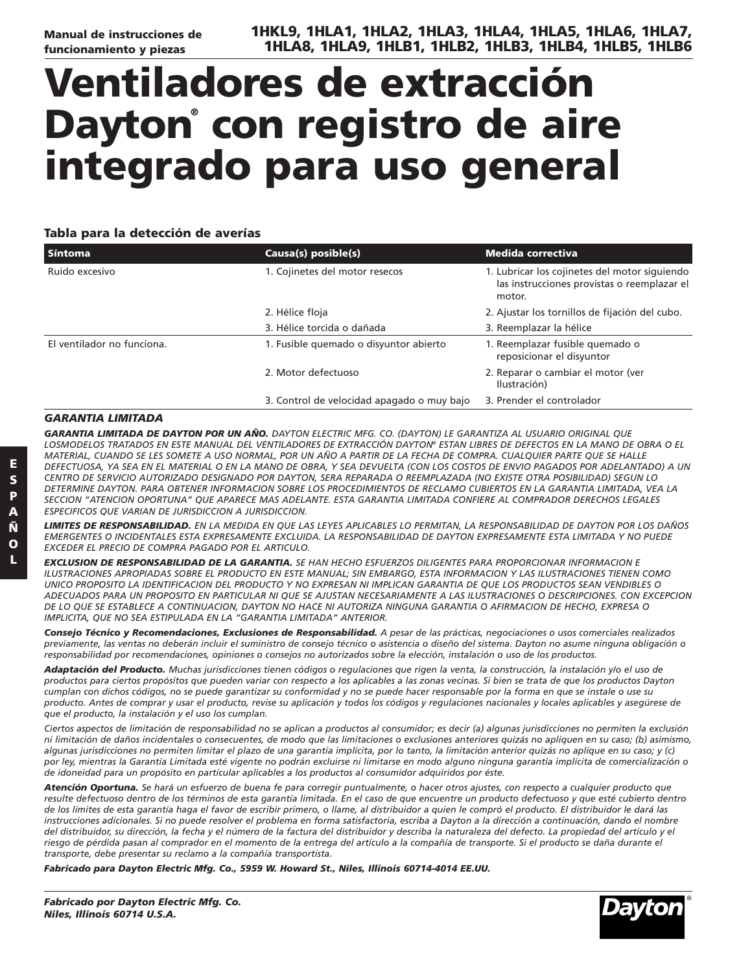# **Ventiladores de extracción Dayton® con registro de aire integrado para uso general**

#### **Tabla para la detección de averías**

| <b>Síntoma</b>             | Causa(s) posible(s)                        | <b>Medida correctiva</b>                                                                               |
|----------------------------|--------------------------------------------|--------------------------------------------------------------------------------------------------------|
| Ruido excesivo             | 1. Cojinetes del motor resecos             | 1. Lubricar los cojinetes del motor siguiendo<br>las instrucciones provistas o reemplazar el<br>motor. |
|                            | 2. Hélice floja                            | 2. Ajustar los tornillos de fijación del cubo.                                                         |
|                            | 3. Hélice torcida o dañada                 | 3. Reemplazar la hélice                                                                                |
| El ventilador no funciona. | 1. Fusible quemado o disyuntor abierto     | 1. Reemplazar fusible quemado o<br>reposicionar el disyuntor                                           |
|                            | 2. Motor defectuoso                        | 2. Reparar o cambiar el motor (ver<br>Ilustración)                                                     |
|                            | 3. Control de velocidad apagado o muy bajo | 3. Prender el controlador                                                                              |

#### *GARANTIA LIMITADA*

*GARANTIA LIMITADA DE DAYTON POR UN AÑO. DAYTON ELECTRIC MFG. CO. (DAYTON) LE GARANTIZA AL USUARIO ORIGINAL QUE LOSMODELOS TRATADOS EN ESTE MANUAL DEL VENTILADORES DE EXTRACCIÓN DAYTON® ESTAN LIBRES DE DEFECTOS EN LA MANO DE OBRA O EL MATERIAL, CUANDO SE LES SOMETE A USO NORMAL, POR UN AÑO A PARTIR DE LA FECHA DE COMPRA. CUALQUIER PARTE QUE SE HALLE DEFECTUOSA, YA SEA EN EL MATERIAL O EN LA MANO DE OBRA, Y SEA DEVUELTA (CON LOS COSTOS DE ENVIO PAGADOS POR ADELANTADO) A UN CENTRO DE SERVICIO AUTORIZADO DESIGNADO POR DAYTON, SERA REPARADA O REEMPLAZADA (NO EXISTE OTRA POSIBILIDAD) SEGUN LO DETERMINE DAYTON. PARA OBTENER INFORMACION SOBRE LOS PROCEDIMIENTOS DE RECLAMO CUBIERTOS EN LA GARANTIA LIMITADA, VEA LA SECCION "ATENCION OPORTUNA" QUE APARECE MAS ADELANTE. ESTA GARANTIA LIMITADA CONFIERE AL COMPRADOR DERECHOS LEGALES ESPECIFICOS QUE VARIAN DE JURISDICCION A JURISDICCION.*

*LIMITES DE RESPONSABILIDAD. EN LA MEDIDA EN QUE LAS LEYES APLICABLES LO PERMITAN, LA RESPONSABILIDAD DE DAYTON POR LOS DAÑOS EMERGENTES O INCIDENTALES ESTA EXPRESAMENTE EXCLUIDA. LA RESPONSABILIDAD DE DAYTON EXPRESAMENTE ESTA LIMITADA Y NO PUEDE EXCEDER EL PRECIO DE COMPRA PAGADO POR EL ARTICULO.*

*EXCLUSION DE RESPONSABILIDAD DE LA GARANTIA. SE HAN HECHO ESFUERZOS DILIGENTES PARA PROPORCIONAR INFORMACION E ILUSTRACIONES APROPIADAS SOBRE EL PRODUCTO EN ESTE MANUAL; SIN EMBARGO, ESTA INFORMACION Y LAS ILUSTRACIONES TIENEN COMO UNICO PROPOSITO LA IDENTIFICACION DEL PRODUCTO Y NO EXPRESAN NI IMPLICAN GARANTIA DE QUE LOS PRODUCTOS SEAN VENDIBLES O ADECUADOS PARA UN PROPOSITO EN PARTICULAR NI QUE SE AJUSTAN NECESARIAMENTE A LAS ILUSTRACIONES O DESCRIPCIONES. CON EXCEPCION DE LO QUE SE ESTABLECE A CONTINUACION, DAYTON NO HACE NI AUTORIZA NINGUNA GARANTIA O AFIRMACION DE HECHO, EXPRESA O IMPLICITA, QUE NO SEA ESTIPULADA EN LA "GARANTIA LIMITADA" ANTERIOR.*

*Consejo Técnico y Recomendaciones, Exclusiones de Responsabilidad. A pesar de las prácticas, negociaciones o usos comerciales realizados previamente, las ventas no deberán incluir el suministro de consejo técnico o asistencia o diseño del sistema. Dayton no asume ninguna obligación o responsabilidad por recomendaciones, opiniones o consejos no autorizados sobre la elección, instalación o uso de los productos.*

*Adaptación del Producto. Muchas jurisdicciones tienen códigos o regulaciones que rigen la venta, la construcción, la instalación y/o el uso de productos para ciertos propósitos que pueden variar con respecto a los aplicables a las zonas vecinas. Si bien se trata de que los productos Dayton cumplan con dichos códigos, no se puede garantizar su conformidad y no se puede hacer responsable por la forma en que se instale o use su producto. Antes de comprar y usar el producto, revise su aplicación y todos los códigos y regulaciones nacionales y locales aplicables y asegúrese de que el producto, la instalación y el uso los cumplan.*

*Ciertos aspectos de limitación de responsabilidad no se aplican a productos al consumidor; es decir (a) algunas jurisdicciones no permiten la exclusión ni limitación de daños incidentales o consecuentes, de modo que las limitaciones o exclusiones anteriores quizás no apliquen en su caso; (b) asimismo, algunas jurisdicciones no permiten limitar el plazo de una garantía implícita, por lo tanto, la limitación anterior quizás no aplique en su caso; y (c) por ley, mientras la Garantía Limitada esté vigente no podrán excluirse ni limitarse en modo alguno ninguna garantía implícita de comercialización o de idoneidad para un propósito en particular aplicables a los productos al consumidor adquiridos por éste.*

*Atención Oportuna. Se hará un esfuerzo de buena fe para corregir puntualmente, o hacer otros ajustes, con respecto a cualquier producto que resulte defectuoso dentro de los términos de esta garantía limitada. En el caso de que encuentre un producto defectuoso y que esté cubierto dentro de los límites de esta garantía haga el favor de escribir primero, o llame, al distribuidor a quien le compró el producto. El distribuidor le dará las instrucciones adicionales. Si no puede resolver el problema en forma satisfactoria, escriba a Dayton a la dirección a continuación, dando el nombre del distribuidor, su dirección, la fecha y el número de la factura del distribuidor y describa la naturaleza del defecto. La propiedad del artículo y el riesgo de pérdida pasan al comprador en el momento de la entrega del artículo a la compañía de transporte. Si el producto se daña durante el transporte, debe presentar su reclamo a la compañía transportista.*

*Fabricado para Dayton Electric Mfg. Co., 5959 W. Howard St., Niles, Illinois 60714-4014 EE.UU.*

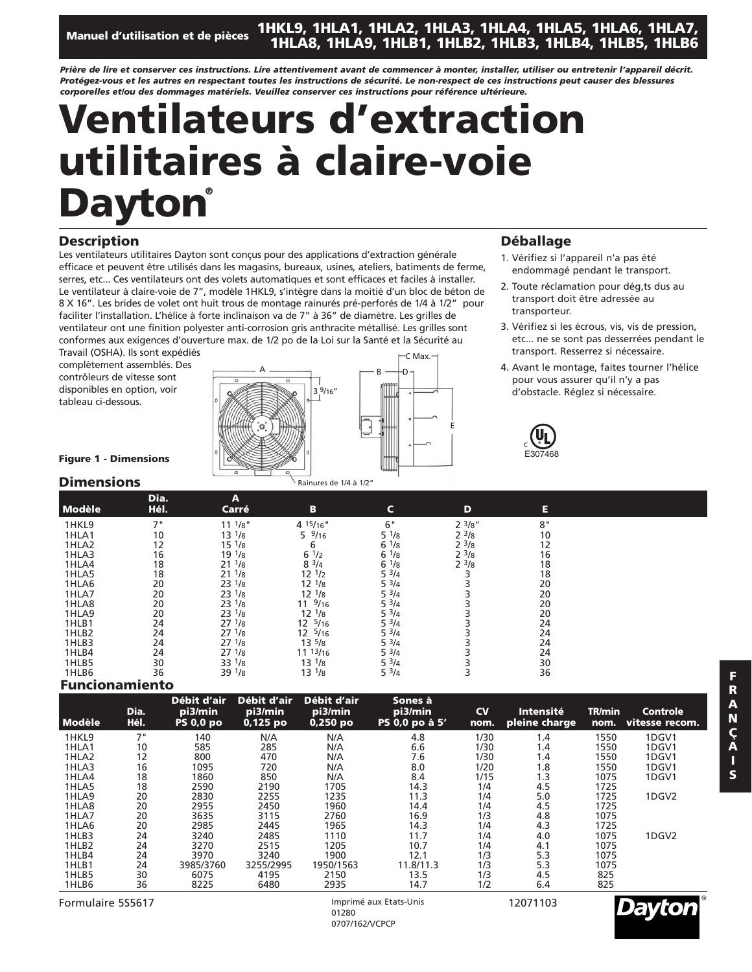# **Manuel d'utilisation et de pièces 1HKL9, 1HLA1, 1HLA2, 1HLA3, 1HLA4, 1HLA5, 1HLA6, 1HLA7, 1HLA8, 1HLA9, 1HLB1, 1HLB2, 1HLB3, 1HLB4, 1HLB5, 1HLB6**

*Prière de lire et conserver ces instructions. Lire attentivement avant de commencer à monter, installer, utiliser ou entretenir l'appareil décrit. Protégez-vous et les autres en respectant toutes les instructions de sécurité. Le non-respect de ces instructions peut causer des blessures corporelles et/ou des dommages matériels. Veuillez conserver ces instructions pour référence ultérieure.*

# **Ventilateurs d'extraction utilitaires à claire-voie Dayton®**

### **Description**

Les ventilateurs utilitaires Dayton sont conçus pour des applications d'extraction générale efficace et peuvent être utilisés dans les magasins, bureaux, usines, ateliers, batiments de ferme, serres, etc... Ces ventilateurs ont des volets automatiques et sont efficaces et faciles à installer. Le ventilateur à claire-voie de 7", modèle 1HKL9, s'intègre dans la moitié d'un bloc de béton de 8 X 16". Les brides de volet ont huit trous de montage rainurés pré-perforés de 1/4 à 1/2" pour faciliter l'installation. L'hélice à forte inclinaison va de 7" à 36" de diamètre. Les grilles de ventilateur ont une finition polyester anti-corrosion gris anthracite métallisé. Les grilles sont conformes aux exigences d'ouverture max. de 1/2 po de la Loi sur la Santé et la Sécurité au

Travail (OSHA). Ils sont expédiés complètement assemblés. Des contrôleurs de vitesse sont disponibles en option, voir tableau ci-dessous.



### **Déballage**

- 1. Vérifiez si l'appareil n'a pas été endommagé pendant le transport.
- 2. Toute réclamation pour dég.ts dus au transport doit être adressée au transporteur.
- 3. Vérifiez si les écrous, vis, vis de pression, etc... ne se sont pas desserrées pendant le transport. Resserrez si nécessaire.
- 4. Avant le montage, faites tourner l'hélice pour vous assurer qu'il n'y a pas d'obstacle. Réglez si nécessaire.



E

**Figure 1 - Dimensions**

**Dimensions**

| <b>Modèle</b> | Dia.<br>Hél. | A<br>Carré         | B                 | c               | D         | Е  |  |
|---------------|--------------|--------------------|-------------------|-----------------|-----------|----|--|
| 1HKL9         | 7"           | $11^{1/8"$         | 4 15/16"          | 6"              | 23/8"     | 8" |  |
| 1HLA1         | 10           | $13 \frac{1}{8}$   | $5 \frac{9}{16}$  | $5 \frac{1}{8}$ | $2^{3/8}$ | 10 |  |
| 1HLA2         | 12           | $15^{1/8}$         | 6                 | $6^{1/8}$       | $2^{3}/8$ | 12 |  |
| 1HLA3         | 16           | $19^{1/8}$         | $6^{1/2}$         | $6^{1/8}$       | $2^{3/8}$ | 16 |  |
| 1HLA4         | 18           | $21 \frac{1}{8}$   | $8^{3}/4$         | $6^{1/8}$       | $2^{3/8}$ | 18 |  |
| 1HLA5         | 18           | $21^{1/8}$         | $12^{1/2}$        | $5^{3}/4$       |           | 18 |  |
| 1HLA6         | 20           | $23 \frac{1}{8}$   | $12 \frac{1}{8}$  | $5 \frac{3}{4}$ |           | 20 |  |
| 1HLA7         | 20           | $23 \frac{1}{8}$   | $12 \frac{1}{8}$  | $5 \frac{3}{4}$ |           | 20 |  |
| 1HLA8         | 20           | $23 \frac{1}{8}$   | 9/16<br>11        | $5 \frac{3}{4}$ |           | 20 |  |
| 1HLA9         | 20           | $23 \frac{1}{8}$   | $12 \frac{1}{8}$  | $5 \frac{3}{4}$ |           | 20 |  |
| 1HLB1         | 24           | $27 \frac{1}{8}$   | 5/16<br>12        | $5 \frac{3}{4}$ |           | 24 |  |
| 1HLB2         | 24           | $27^{1/8}$         | $12 \frac{5}{16}$ | $5 \frac{3}{4}$ |           | 24 |  |
| 1HLB3         | 24           | $27 \frac{1}{8}$   | $13 \frac{5}{8}$  | $5 \frac{3}{4}$ |           | 24 |  |
| 1HLB4         | 24           | $27 \frac{1}{8}$   | $11^{13/16}$      | $5 \frac{3}{4}$ |           | 24 |  |
| 1HLB5         | 30           | $33^{1/8}$         | $13^{1/8}$        | $5^{3}/4$       |           | 30 |  |
| 1HLB6         | 36           | 39 <sup>1</sup> /8 | $13 \frac{1}{8}$  | 53/4            |           | 36 |  |

#### **Funcionamiento**

| Modèle            | Dia.<br>Hél. | Débit d'air<br>pi3/min<br><b>PS 0,0 po</b> | Débit d'air<br>pi3/min<br>$0,125$ po | Débit d'air<br>pi3/min<br>$0,250$ po | Sones à<br>pi3/min<br>PS 0,0 po à 5' | $\mathbf{C}\mathbf{V}$<br>nom. | <b>Intensité</b><br>pleine charge | <b>TR/min</b><br>nom. | Controle<br>vitesse recom. |
|-------------------|--------------|--------------------------------------------|--------------------------------------|--------------------------------------|--------------------------------------|--------------------------------|-----------------------------------|-----------------------|----------------------------|
| 1HKL9             | 7"           | 140                                        | N/A                                  | N/A                                  | 4.8                                  | 1/30                           | 1.4                               | 1550                  | 1DGV1                      |
| 1HLA1             | 10           | 585                                        | 285                                  | N/A                                  | 6.6                                  | 1/30                           | 1.4                               | 1550                  | 1DGV1                      |
| 1HLA <sub>2</sub> | 12           | 800                                        | 470                                  | N/A                                  | 7.6                                  | 1/30                           | 1.4                               | 1550                  | 1DGV1                      |
| 1HLA3             | 16           | 1095                                       | 720                                  | N/A                                  | 8.0                                  | 1/20                           | 1.8                               | 1550                  | 1DGV1                      |
| 1HLA4             | 18           | 1860                                       | 850                                  | N/A                                  | 8.4                                  | 1/15                           | 1.3                               | 1075                  | 1DGV1                      |
| 1HLA5             | 18           | 2590                                       | 2190                                 | 1705                                 | 14.3                                 | 1/4                            | 4.5                               | 1725                  |                            |
| 1HLA9             | 20           | 2830                                       | 2255                                 | 1235                                 | 11.3                                 | 1/4                            | 5.0                               | 1725                  | 1DGV <sub>2</sub>          |
| 1HLA8             | 20           | 2955                                       | 2450                                 | 1960                                 | 14.4                                 | 1/4                            | 4.5                               | 1725                  |                            |
| 1HLA7             | 20           | 3635                                       | 3115                                 | 2760                                 | 16.9                                 | 1/3                            | 4.8                               | 1075                  |                            |
| 1HLA6             | 20           | 2985                                       | 2445                                 | 1965                                 | 14.3                                 | 1/4                            | 4.3                               | 1725                  |                            |
| 1HLB3             | 24           | 3240                                       | 2485                                 | 1110                                 | 11.7                                 | 1/4                            | 4.0                               | 1075                  | 1DGV <sub>2</sub>          |
| 1HLB <sub>2</sub> | 24           | 3270                                       | 2515                                 | 1205                                 | 10.7                                 | 1/4                            | 4.1                               | 1075                  |                            |
| 1HLB4             | 24           | 3970                                       | 3240                                 | 1900                                 | 12.1                                 | 1/3                            | 5.3                               | 1075                  |                            |
| 1HLB1             | 24           | 3985/3760                                  | 3255/2995                            | 1950/1563                            | 11.8/11.3                            | 1/3                            | 5.3                               | 1075                  |                            |
| 1HLB5             | 30           | 6075                                       | 4195                                 | 2150                                 | 13.5                                 | 1/3                            | 4.5                               | 825                   |                            |
| 1HLB6             | 36           | 8225                                       | 6480                                 | 2935                                 | 14.7                                 | 1/2                            | 6.4                               | 825                   |                            |

Davtol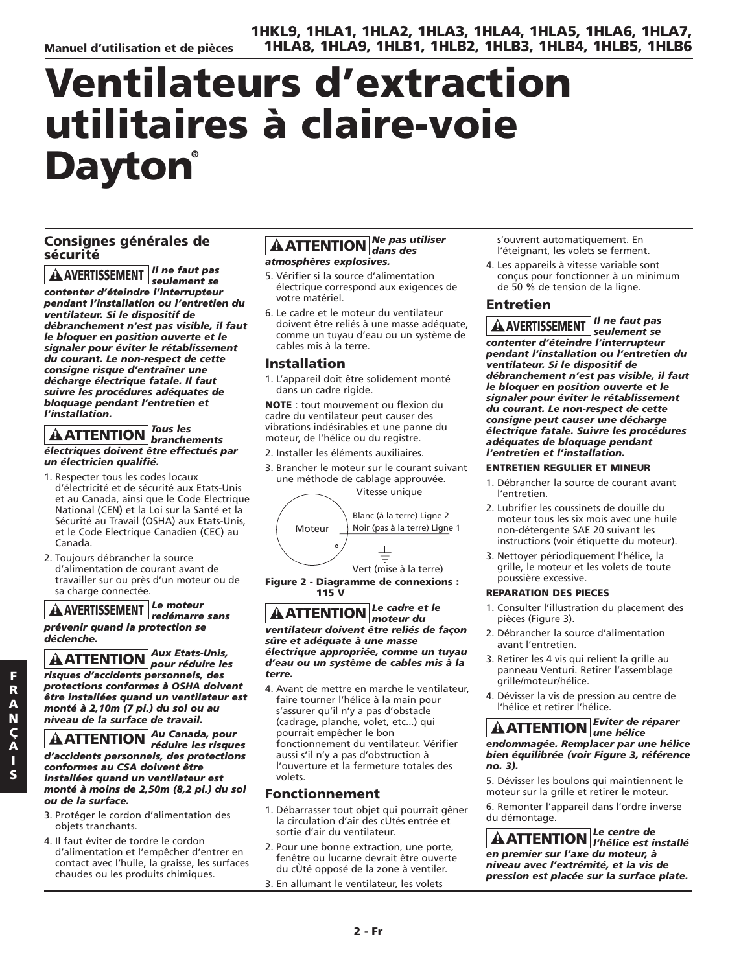# **Ventilateurs d'extraction utilitaires à claire-voie Dayton®**

## **Consignes générales de sécurité**

*Il ne faut pas seulement se contenter d'éteindre l'interrupteur pendant l'installation ou l'entretien du ventilateur. Si le dispositif de débranchement n'est pas visible, il faut le bloquer en position ouverte et le signaler pour éviter le rétablissement du courant. Le non-respect de cette consigne risque d'entraîner une décharge électrique fatale. Il faut suivre les procédures adéquates de bloquage pendant l'entretien et l'installation.* **! AVERTISSEMENT**

#### *Tous les branchements* **! ATTENTION** *électriques doivent être effectués par un électricien qualifié.*

- 1. Respecter tous les codes locaux d'électricité et de sécurité aux Etats-Unis et au Canada, ainsi que le Code Electrique National (CEN) et la Loi sur la Santé et la Sécurité au Travail (OSHA) aux Etats-Unis, et le Code Electrique Canadien (CEC) au Canada.
- 2. Toujours débrancher la source d'alimentation de courant avant de travailler sur ou près d'un moteur ou de sa charge connectée.

#### *Le moteur redémarre sans* **! AVERTISSEMENT** *prévenir quand la protection se déclenche.*

#### *Aux Etats-Unis, pour réduire les* **! ATTENTION** *risques d'accidents personnels, des protections conformes à OSHA doivent être installées quand un ventilateur est monté à 2,10m (7 pi.) du sol ou au niveau de la surface de travail.*

#### *Au Canada, pour réduire les risques* **! ATTENTION** *d'accidents personnels, des protections conformes au CSA doivent être installées quand un ventilateur est monté à moins de 2,50m (8,2 pi.) du sol ou de la surface.*

- 3. Protéger le cordon d'alimentation des objets tranchants.
- 4. Il faut éviter de tordre le cordon d'alimentation et l'empêcher d'entrer en contact avec l'huile, la graisse, les surfaces chaudes ou les produits chimiques.

#### *Ne pas utiliser dans des* **! ATTENTION** *atmosphères explosives.*

- 5. Vérifier si la source d'alimentation électrique correspond aux exigences de votre matériel.
- 6. Le cadre et le moteur du ventilateur doivent être reliés à une masse adéquate, comme un tuyau d'eau ou un système de cables mis à la terre.

#### **Installation**

1. L'appareil doit être solidement monté dans un cadre rigide.

**NOTE** : tout mouvement ou flexion du cadre du ventilateur peut causer des vibrations indésirables et une panne du moteur, de l'hélice ou du registre.

- 2. Installer les éléments auxiliaires.
- 3. Brancher le moteur sur le courant suivant une méthode de cablage approuvée. Vitesse unique



**Figure 2 - Diagramme de connexions : 115 V**

#### *Le cadre et le moteur du* **! ATTENTION** *ventilateur doivent être reliés de façon sûre et adéquate à une masse électrique appropriée, comme un tuyau d'eau ou un système de cables mis à la terre.*

4. Avant de mettre en marche le ventilateur, faire tourner l'hélice à la main pour s'assurer qu'il n'y a pas d'obstacle (cadrage, planche, volet, etc...) qui pourrait empêcher le bon fonctionnement du ventilateur. Vérifier aussi s'il n'y a pas d'obstruction à l'ouverture et la fermeture totales des volets.

#### **Fonctionnement**

- 1. Débarrasser tout objet qui pourrait gêner la circulation d'air des cÙtés entrée et sortie d'air du ventilateur.
- 2. Pour une bonne extraction, une porte, fenêtre ou lucarne devrait être ouverte du cÙté opposé de la zone à ventiler.
- 3. En allumant le ventilateur, les volets

s'ouvrent automatiquement. En l'éteignant, les volets se ferment.

4. Les appareils à vitesse variable sont conçus pour fonctionner à un minimum de 50 % de tension de la ligne.

### **Entretien**

*Il ne faut pas seulement se* **! AVERTISSEMENT** *contenter d'éteindre l'interrupteur pendant l'installation ou l'entretien du ventilateur. Si le dispositif de débranchement n'est pas visible, il faut le bloquer en position ouverte et le signaler pour éviter le rétablissement du courant. Le non-respect de cette consigne peut causer une décharge électrique fatale. Suivre les procédures adéquates de bloquage pendant l'entretien et l'installation.*

#### **ENTRETIEN REGULIER ET MINEUR**

- 1. Débrancher la source de courant avant l'entretien.
- 2. Lubrifier les coussinets de douille du moteur tous les six mois avec une huile non-détergente SAE 20 suivant les instructions (voir étiquette du moteur).
- 3. Nettoyer périodiquement l'hélice, la grille, le moteur et les volets de toute poussière excessive.

#### **REPARATION DES PIECES**

- 1. Consulter l'illustration du placement des pièces (Figure 3).
- 2. Débrancher la source d'alimentation avant l'entretien.
- 3. Retirer les 4 vis qui relient la grille au panneau Venturi. Retirer l'assemblage grille/moteur/hélice.
- 4. Dévisser la vis de pression au centre de l'hélice et retirer l'hélice.

#### *Eviter de réparer une hélice* **! ATTENTION** *endommagée. Remplacer par une hélice bien équilibrée (voir Figure 3, référence no. 3).*

5. Dévisser les boulons qui maintiennent le moteur sur la grille et retirer le moteur.

6. Remonter l'appareil dans l'ordre inverse du démontage.

*Le centre de l'hélice est installé* **! ATTENTION** *en premier sur l'axe du moteur, à niveau avec l'extrémité, et la vis de pression est placée sur la surface plate.*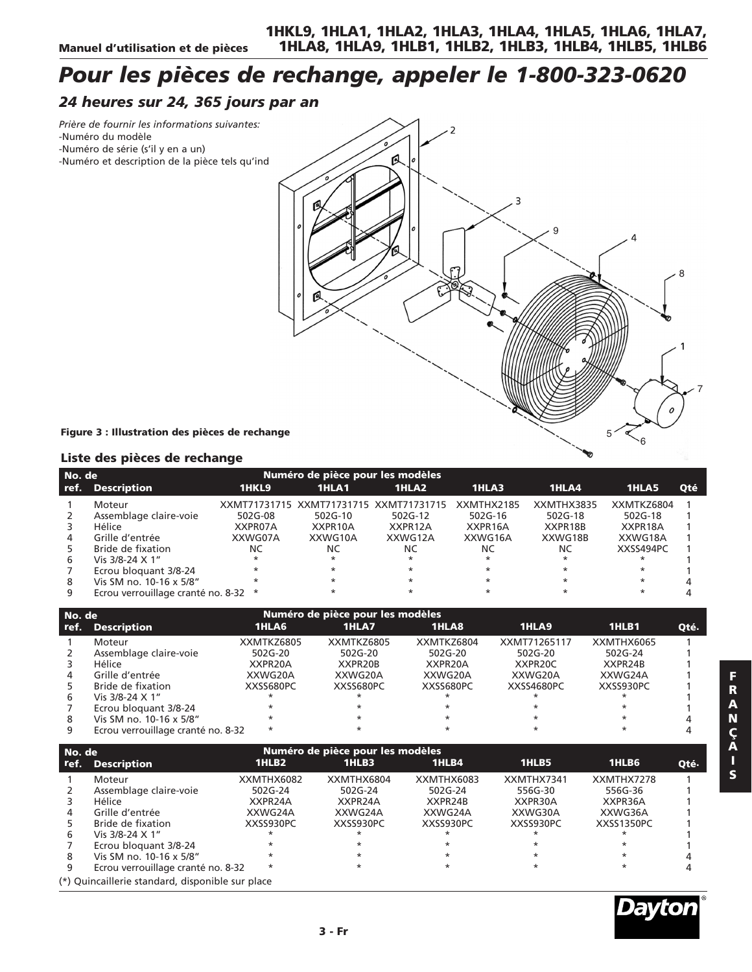# *Pour les pièces de rechange, appeler le 1-800-323-0620*

# *24 heures sur 24, 365 jours par an*

*Prière de fournir les informations suivantes:* -Numéro du modèle -Numéro de série (s'il y en a un)

-Numéro et description de la pièce tels qu'ind



**Figure 3 : Illustration des pièces de rechange**

### **Liste des pièces de rechange**

| No. de |                                      |         | Numéro de pièce pour les modèles |                                        |            |            |            |     |
|--------|--------------------------------------|---------|----------------------------------|----------------------------------------|------------|------------|------------|-----|
| ref.   | <b>Description</b>                   | 1HKL9   | 1HLA1                            | 1HLA <sub>2</sub>                      | 1HLA3      | 1HLA4      | 1HLA5      | Qté |
|        | Moteur                               |         |                                  | XXMT71731715 XXMT71731715 XXMT71731715 | XXMTHX2185 | XXMTHX3835 | XXMTKZ6804 |     |
|        | Assemblage claire-voie               | 502G-08 | 502G-10                          | 502G-12                                | $502G-16$  | 502G-18    | 502G-18    |     |
|        | Hélice                               | XXPR07A | XXPR10A                          | XXPR12A                                | XXPR16A    | XXPR18B    | XXPR18A    |     |
|        | Grille d'entrée                      | XXWG07A | XXWG10A                          | XXWG12A                                | XXWG16A    | XXWG18B    | XXWG18A    |     |
|        | Bride de fixation                    | NC      | NC                               | NC                                     | NC         | <b>NC</b>  | XXSS494PC  |     |
| 6      | Vis 3/8-24 X 1"                      | $\star$ |                                  | $\star$                                | $\star$    | $\star$    | $\star$    |     |
|        | Ecrou bloquant 3/8-24                |         |                                  |                                        | ÷          | ÷          |            |     |
| 8      | Vis SM no. 10-16 x 5/8"              |         |                                  |                                        |            |            | ÷          |     |
|        | Ecrou verrouillage cranté no. 8-32 * |         |                                  |                                        |            |            |            |     |

| No. de |                                    |            | Numéro de pièce pour les modèles |            |              |            |      |
|--------|------------------------------------|------------|----------------------------------|------------|--------------|------------|------|
| ref.   | <b>Description</b>                 | 1HLA6      | 1HLA7                            | 1HLA8      | 1HLA9        | 1HLB1      | Qté. |
|        | Moteur                             | XXMTKZ6805 | XXMTKZ6805                       | XXMTKZ6804 | XXMT71265117 | XXMTHX6065 |      |
|        | Assemblage claire-voie             | 502G-20    | 502G-20                          | 502G-20    | 502G-20      | 502G-24    |      |
|        | Hélice                             | XXPR20A    | XXPR20B                          | XXPR20A    | XXPR20C      | XXPR24B    |      |
|        | Grille d'entrée                    | XXWG20A    | XXWG20A                          | XXWG20A    | XXWG20A      | XXWG24A    |      |
|        | Bride de fixation                  | XXSS680PC  | XXSS680PC                        | XXSS680PC  | XXSS4680PC   | XXSS930PC  |      |
| 6      | Vis $3/8 - 24 \times 1$ "          |            |                                  |            |              |            |      |
|        | Ecrou bloquant 3/8-24              | $\star$    | $\star$                          | $\star$    | $\star$      | $\star$    |      |
| 8      | Vis SM no. 10-16 x 5/8"            | $\star$    | $\star$                          | $\star$    | $\star$      | $\star$    |      |
|        | Ecrou verrouillage cranté no. 8-32 | $\star$    |                                  |            |              |            |      |

| No. de                                           |                                    |            | Numéro de pièce pour les modèles |            |            |            |      |
|--------------------------------------------------|------------------------------------|------------|----------------------------------|------------|------------|------------|------|
| ref.                                             | <b>Description</b>                 | 1HLB2      | 1HLB3                            | 1HLB4      | 1HLB5      | 1HLB6      | Qté. |
|                                                  | Moteur                             | XXMTHX6082 | XXMTHX6804                       | XXMTHX6083 | XXMTHX7341 | XXMTHX7278 |      |
|                                                  | Assemblage claire-voie             | 502G-24    | 502G-24                          | 502G-24    | 556G-30    | 556G-36    |      |
|                                                  | Hélice                             | XXPR24A    | XXPR24A                          | XXPR24B    | XXPR30A    | XXPR36A    |      |
| 4                                                | Grille d'entrée                    | XXWG24A    | XXWG24A                          | XXWG24A    | XXWG30A    | XXWG36A    |      |
|                                                  | Bride de fixation                  | XXSS930PC  | XXSS930PC                        | XXSS930PC  | XXSS930PC  | XXSS1350PC |      |
| 6                                                | Vis $3/8 - 24 \times 1$ "          |            |                                  | ÷          |            |            |      |
|                                                  | Ecrou bloquant 3/8-24              |            |                                  | $\star$    |            |            |      |
| 8                                                | Vis SM no. 10-16 x 5/8"            | $\star$    | $\star$                          | $\star$    | $\star$    | $\star$    |      |
|                                                  | Ecrou verrouillage cranté no. 8-32 | $\star$    |                                  | $\star$    | ÷          | $\star$    |      |
| (*) Quincaillerie standard, disponible sur place |                                    |            |                                  |            |            |            |      |